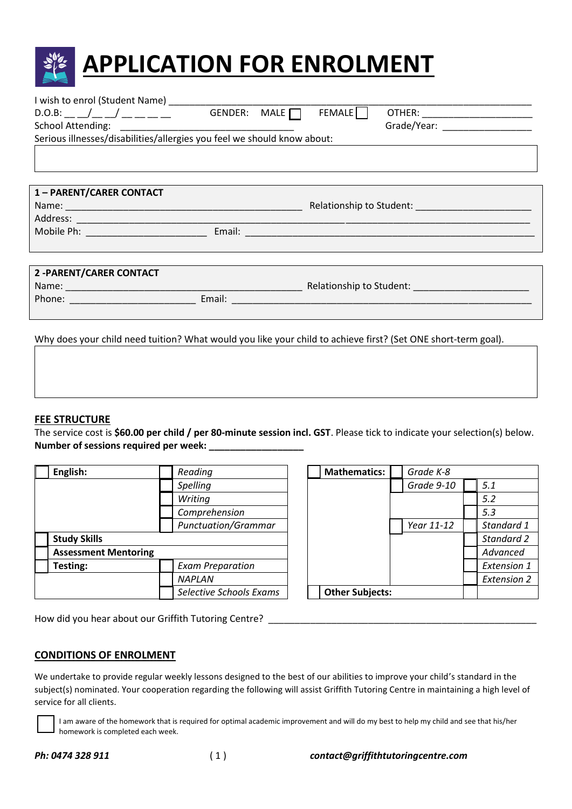

| $D.O.B:$ $/$ $/$ $/$ $/$ $  -$                                          | GENDER: MALE $\Box$                                                                                                                                                                                                            | <b>FEMALE</b> | OTHER: _________________________ |
|-------------------------------------------------------------------------|--------------------------------------------------------------------------------------------------------------------------------------------------------------------------------------------------------------------------------|---------------|----------------------------------|
|                                                                         |                                                                                                                                                                                                                                |               |                                  |
| Serious illnesses/disabilities/allergies you feel we should know about: |                                                                                                                                                                                                                                |               |                                  |
|                                                                         |                                                                                                                                                                                                                                |               |                                  |
|                                                                         |                                                                                                                                                                                                                                |               |                                  |
|                                                                         |                                                                                                                                                                                                                                |               |                                  |
| 1 - PARENT/CARER CONTACT                                                |                                                                                                                                                                                                                                |               |                                  |
|                                                                         |                                                                                                                                                                                                                                |               |                                  |
|                                                                         |                                                                                                                                                                                                                                |               |                                  |
|                                                                         |                                                                                                                                                                                                                                |               |                                  |
|                                                                         |                                                                                                                                                                                                                                |               |                                  |
|                                                                         |                                                                                                                                                                                                                                |               |                                  |
| 2-PARENT/CARER CONTACT                                                  |                                                                                                                                                                                                                                |               |                                  |
|                                                                         | <u> 1980 - Johann Barnett, fransk politik (</u>                                                                                                                                                                                |               |                                  |
|                                                                         | Email: experience and a series of the series of the series of the series of the series of the series of the series of the series of the series of the series of the series of the series of the series of the series of the se |               |                                  |
|                                                                         |                                                                                                                                                                                                                                |               |                                  |
|                                                                         |                                                                                                                                                                                                                                |               |                                  |

Why does your child need tuition? What would you like your child to achieve first? (Set ONE short-term goal).

## **FEE STRUCTURE**

The service cost is **\$60.00 per child / per 80-minute session incl. GST**. Please tick to indicate your selection(s) below. **Number of sessions required per week: \_\_\_\_\_\_\_\_\_\_\_\_\_\_\_\_\_\_**

| English:<br>Reading                 |                     |                            |                         | <b>Mathematics:</b> | Grade K-8              |            |                    |
|-------------------------------------|---------------------|----------------------------|-------------------------|---------------------|------------------------|------------|--------------------|
|                                     |                     |                            | Spelling                |                     |                        | Grade 9-10 | 5.1                |
|                                     |                     |                            | Writing                 |                     |                        |            | 5.2                |
|                                     |                     |                            | Comprehension           |                     |                        |            | 5.3                |
|                                     |                     | <b>Punctuation/Grammar</b> |                         |                     | Year 11-12             | Standard 1 |                    |
|                                     | <b>Study Skills</b> |                            |                         |                     |                        |            | Standard 2         |
| <b>Assessment Mentoring</b>         |                     |                            |                         |                     | Advanced               |            |                    |
| Testing:<br><b>Exam Preparation</b> |                     |                            |                         |                     | <b>Extension 1</b>     |            |                    |
|                                     |                     |                            | <b>NAPLAN</b>           |                     |                        |            | <b>Extension 2</b> |
|                                     |                     |                            | Selective Schools Exams |                     | <b>Other Subjects:</b> |            |                    |

| Reading                    | <b>Mathematics:</b>    | Grade K-8  |                    |
|----------------------------|------------------------|------------|--------------------|
| Spelling                   |                        | Grade 9-10 | 5.1                |
| Writing                    |                        |            | 5.2                |
| Comprehension              |                        |            | 5.3                |
| <b>Punctuation/Grammar</b> |                        | Year 11-12 | Standard 1         |
|                            |                        |            | Standard 2         |
|                            |                        |            | Advanced           |
| <b>Exam Preparation</b>    |                        |            | <b>Extension 1</b> |
| NAPLAN                     |                        |            | <b>Extension 2</b> |
| Selective Schools Exams    | <b>Other Subjects:</b> |            |                    |

How did you hear about our Griffith Tutoring Centre? \_\_\_\_\_\_\_\_\_\_\_\_\_\_\_\_\_\_\_\_\_\_\_\_\_\_\_

## **CONDITIONS OF ENROLMENT**

We undertake to provide regular weekly lessons designed to the best of our abilities to improve your child's standard in the subject(s) nominated. Your cooperation regarding the following will assist Griffith Tutoring Centre in maintaining a high level of service for all clients.



I am aware of the homework that is required for optimal academic improvement and will do my best to help my child and see that his/her homework is completed each week.